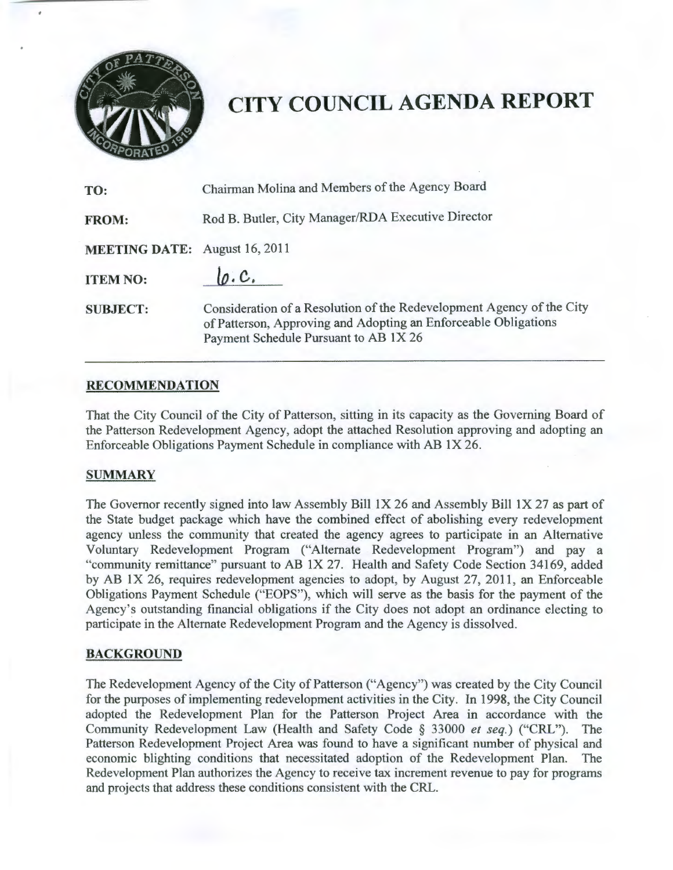

# **CITY COUNCIL AGENDA REPORT**

| TO:                                  | Chairman Molina and Members of the Agency Board                                                                                                                                   |
|--------------------------------------|-----------------------------------------------------------------------------------------------------------------------------------------------------------------------------------|
| <b>FROM:</b>                         | Rod B. Butler, City Manager/RDA Executive Director                                                                                                                                |
| <b>MEETING DATE:</b> August 16, 2011 |                                                                                                                                                                                   |
| <b>ITEM NO:</b>                      | lo.C.                                                                                                                                                                             |
| <b>SUBJECT:</b>                      | Consideration of a Resolution of the Redevelopment Agency of the City<br>of Patterson, Approving and Adopting an Enforceable Obligations<br>Payment Schedule Pursuant to AB 1X 26 |

#### **RECOMMENDATION**

That the City Council of the City of Patterson, sitting in its capacity as the Governing Board of the Patterson Redevelopment Agency, adopt the attached Resolution approving and adopting an Enforceable Obligations Payment Schedule in compliance with AB IX 26.

#### **SUMMARY**

The Governor recently signed into law Assembly Bill IX 26 and Assembly Bill IX 27 as part of the State budget package which have the combined effect of abolishing every redevelopment agency unless the community that created the agency agrees to participate in an Alternative Voluntary Redevelopment Program ("Alternate Redevelopment Program") and pay a "community remittance" pursuant to AB IX 27. Health and Safety Code Section 34169, added by AB IX 26, requires redevelopment agencies to adopt, by August 27, 2011 , an Enforceable Obligations Payment Schedule ("EOPS"), which will serve as the basis for the payment of the Agency's outstanding financial obligations if the City does not adopt an ordinance electing to participate in the Alternate Redevelopment Program and the Agency is dissolved.

#### **BACKGROUND**

The Redevelopment Agency of the City of Patterson ("Agency") was created by the City Council for the purposes of implementing redevelopment activities in the City. In 1998, the City Council adopted the Redevelopment Plan for the Patterson Project Area in accordance with the Community Redevelopment Law (Health and Safety Code § 33000 *et seq.)* ("CRL"). The Patterson Redevelopment Project Area was found to have a significant number of physical and economic blighting conditions that necessitated adoption of the Redevelopment Plan. The Redevelopment Plan authorizes the Agency to receive tax increment revenue to pay for programs and projects that address these conditions consistent with the CRL.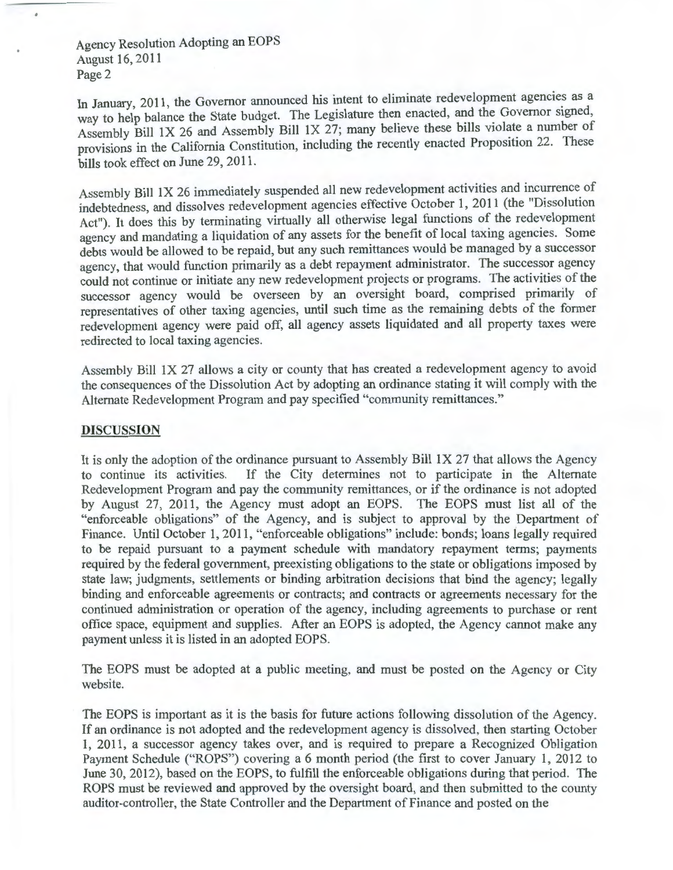Agency Resolution Adopting an EOPS August 16,2011 Page 2

In January, 2011, the Governor announced his intent to eliminate redevelopment agencies as a way to help balance the State budget. The Legislature then enacted, and the Governor signed, Assembly Bill 1X 26 and Assembly Bill 1X 27; many believe these bills violate a number of provisions in the California Constitution, including the recently enacted Proposition 22. These bills took effect on June 29, 2011.

Assembly Bill 1X 26 immediately suspended all new redevelopment activities and incurrence of indebtedness, and dissolves redevelopment agencies effective October 1, 2011 (the "Dissolution Act"). It does this by terminating virtually all otherwise legal functions of the redevelopment agency and mandating a liquidation of any assets for the benefit of local taxing agencies. Some debts would be allowed to be repaid, but any such remittances would be managed by a successor agency, that would function primarily as a debt repayment administrator. The successor agency could not continue or initiate any new redevelopment projects or programs. The activities of the successor agency would be overseen by an oversight board, comprised primarily of representatives of other taxing agencies, until such time as the remaining debts of the former redevelopment agency were paid off, all agency assets liquidated and all property taxes were redirected to local taxing agencies.

Assembly Bill lX 27 allows a city or county that has created a redevelopment agency to avoid the consequences of the Dissolution Act by adopting an ordinance stating it will comply with the Alternate Redevelopment Program and pay specified "community remittances."

#### **DISCUSSION**

It is only the adoption of the ordinance pursuant to Assembly Bill 1X 27 that allows the Agency to continue its activities. If the City determines not to participate in the Alternate Redevelopment Program and pay the community remittances, or if the ordinance is not adopted by August 27, 2011, the Agency must adopt an EOPS. The EOPS must list all of the "enforceable obligations" of the Agency, and is subject to approval by the Department of Finance. Until October 1, 2011, "enforceable obligations" include: bonds; loans legally required to be repaid pursuant to a payment schedule with mandatory repayment terms; payments required by the federal government, preexisting obligations to the state or obligations imposed by state law; judgments, settlements or binding arbitration decisions that bind the agency; legally binding and enforceable agreements or contracts; and contracts or agreements necessary for the continued administration or operation of the agency, including agreements to purchase or rent office space, equipment and supplies. After an EOPS is adopted, the Agency cannot make any payment unless it is listed in an adopted EOPS.

The EOPS must be adopted at a public meeting, and must be posted on the Agency or City website.

The EOPS is important as it is the basis for future actions following dissolution of the Agency. If an ordinance is not adopted and the redevelopment agency is dissolved, then starting October **1,** 2011, a successor agency takes over, and is required to prepare a Recognized Obligation Payment Schedule ("ROPS") covering a 6 month period (the first to cover January 1, 2012 to June 30, 2012), based on the EOPS, to fulfill the enforceable obligations during that period. The ROPS must be reviewed and approved by the oversight board, and then submitted to the county auditor-controller, the State Controller and the Department of Finance and posted on the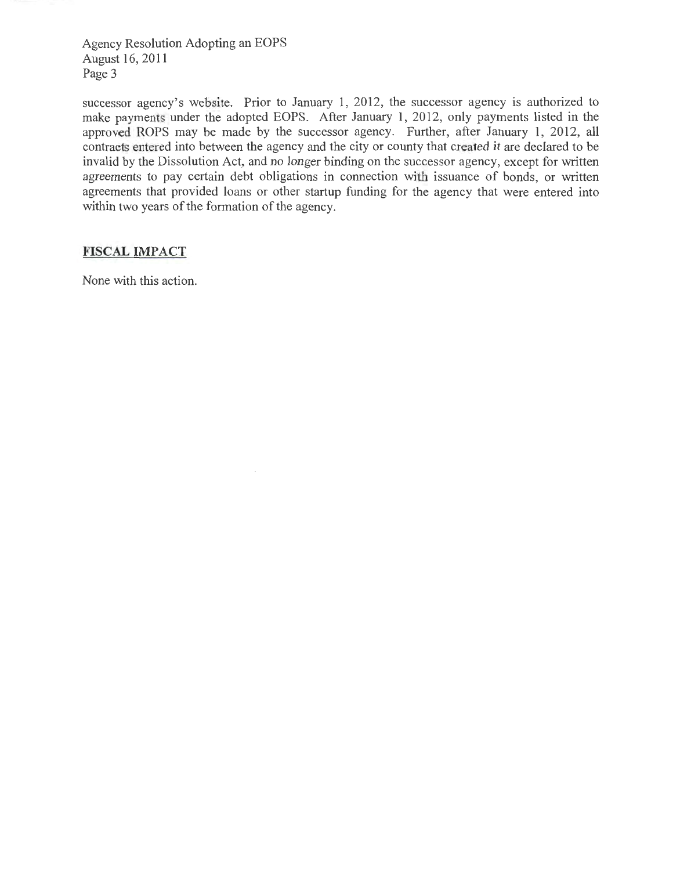Agency Resolution Adopting an EOPS August 16, 2011 Page 3

successor agency's website. Prior to January 1, 2012, the successor agency is authorized to make payments under the adopted EOPS. After January 1, 2012, only payments listed in the approved ROPS may be made by the successor agency. Further, after January **1,** 2012, all contracts entered into between the agency and the city or county that created it are declared to be invalid by the Dissolution Act, and no longer binding on the successor agency, except for written agreements to pay certain debt obligations in connection with issuance of bonds, or written agreements that provided loans or other startup funding for the agency that were entered into within two years of the formation of the agency.

## **FISCAL IMPACT**

None with this action.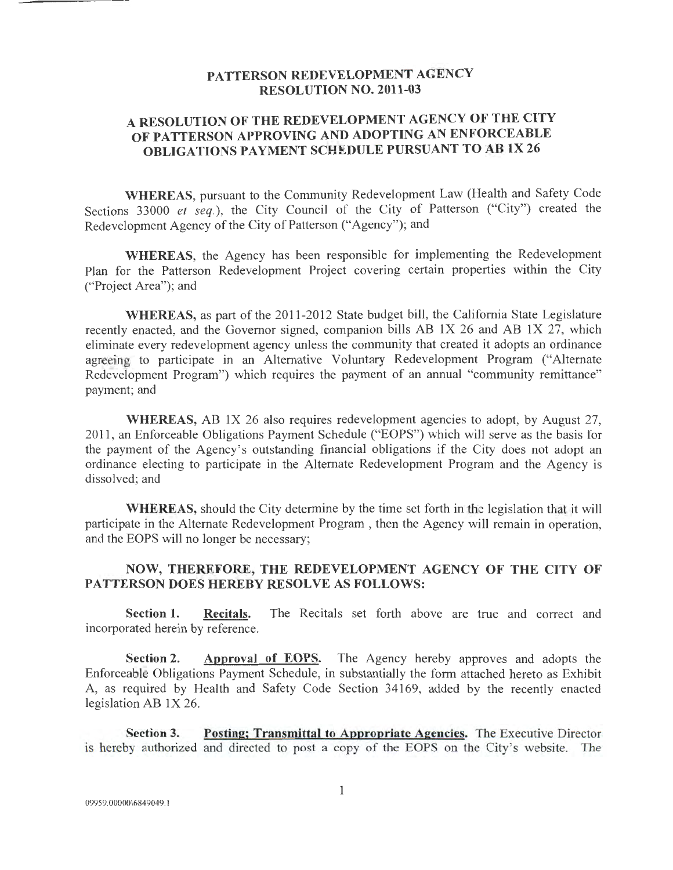## **PATTERSON REDEVELOPMENT AGENCY RESOLUTION NO. 2011-03**

# **A RESOLUTION OF THE REDEVELOPMENT AGENCY OF THE CITY OF PATTERSON APPROVING AND ADOPTING AN ENFORCEABLE OBLIGATIONS PAYMENT SCHEDULE PURSUANT TO AB lX 26**

**WHEREAS,** pursuant to the Community Redevelopment Law (Health and Safety Code Sections 33000 *et seq.*), the City Council of the City of Patterson ("City") created the Redevelopment Agency of the City of Patterson ("Agency"); and

**WHEREAS,** the Agency has been responsible for implementing the Redevelopment Plan for the Patterson Redevelopment Project covering certain properties within the City ("Project Area"); and

WHEREAS, as part of the 2011-2012 State budget bill, the California State Legislature recently enacted, and the Governor signed, companion bills AB IX 26 and AB IX 27, which eliminate every redevelopment agency unless the community that created it adopts an ordinance agreeing to participate in an Alternative Voluntary Redevelopment Program ("Alternate Redevelopment Program") which requires the payment of an annual "community remittance" payment; and

**WHEREAS,** AB lX 26 also requires redevelopment agencies to adopt, by August 27, 20 II, an Enforceable Obligations Payment Schedule ("EOPS") which will serve as the basis for the payment of the Agency's outstanding financial obligations if the City does not adopt an ordinance electing to participate in the Alternate Redevelopment Program and the Agency is dissolved; and

**WHEREAS,** should the City determine by the time set forth in the legislation that it will participate in the Alternate Redevelopment Program , then the Agency will remain in operation, and the EOPS will no longer be necessary;

## **NOW, THEREFORE, THE REDEVELOPMENT AGENCY OF THE CITY OF PATTERSON DOES HEREBY RESOLVE AS FOLLOWS:**

**Section 1. Recitals.** The Recitals set forth above are true and correct and incorporated herein by reference.

**Section 2.** Approval of EOPS. The Agency hereby approves and adopts the Enforceable Obligations Payment Schedule, in substantially the form attached hereto as Exhibit A, as required by Health and Safety Code Section 34I69, added by the recently enacted legislation AB  $1X 26$ .

**Section 3. Posting; Transmittal to Appropriate Agencies.** The Executive Director is hereby authorized and directed to post a copy of the EOPS on the City's website. The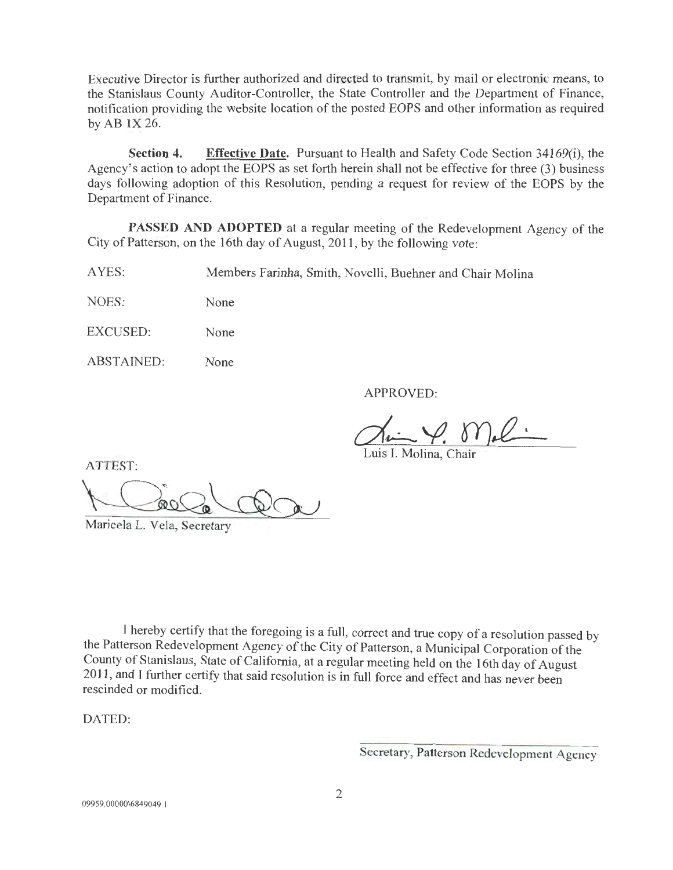Executive Director is further authorized and directed to transmit, by mail or electronic means, to the Stanislaus County Auditor-Controller, the State Controller and the Department of Finance, notification providing the website location of the posted EOPS and other information as required by AB IX 26.

**Section 4. Effective Date.** Pursuant to Health and Safety Code Section 34169(i), the Agency's action to adopt the EOPS as set forth herein shall not be effective for three (3) business days following adoption of this Resolution, pending a request for review of the EOPS by the Department of Finance.

**PASSED AND ADOPTED** at a regular meeting of the Redevelopment Agency of the City of Patterson, on the 16th day of August, 2011 , by the following vote:

AYES: Members Farinha, Smith, Novelli, Buehner and Chair Molina

NOES: None

EXCUSED: None

ABSTAINED: None

APPROVED:

Luis I. Molina, Chair

ATTEST:

ATTEST:<br>
Luis I. Molina<br>
Maricela L. Vela, Secretary

I hereby certify that the foregoing is a full, correct and true copy of a resolution passed by the Patterson Redevelopment Agency of the City of Patterson, a Municipal Corporation of the County of Stanislaus, State of California, at a regular meeting held on the 16th day of August 2011 , and I further certify that said resolution is in full force and effect and has never been rescinded or modified.

DATED:

Secretary, Patterson Redevelopment Agency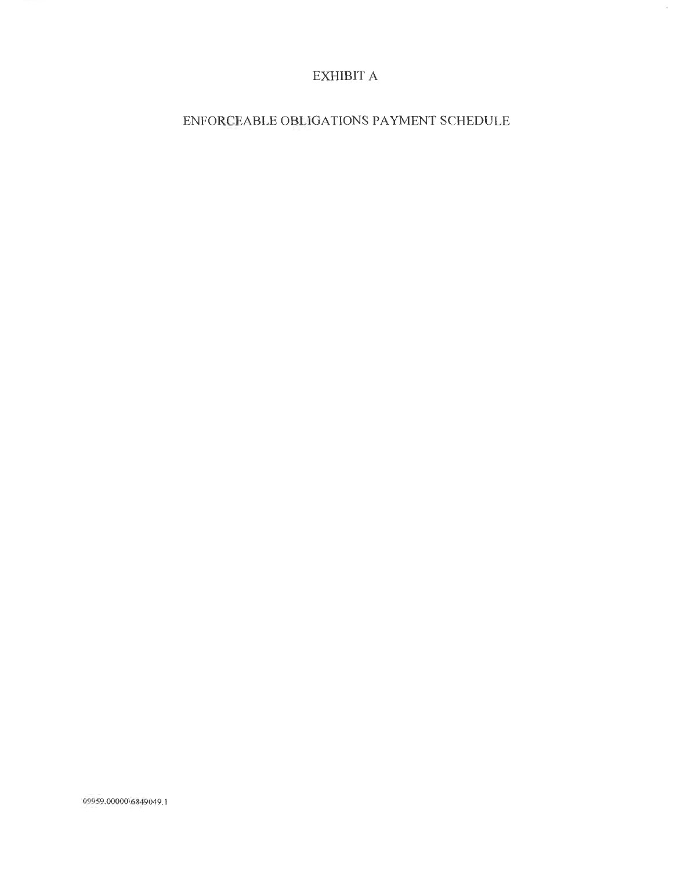# EXHIBIT A

## ENFORCEABLE OBLIGATIONS PAYMENT SCHEDULE

09959.000006849049.1